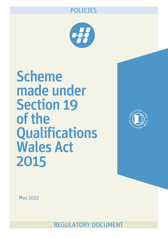# POLICIES



Scheme made under Section 19 of the **Qualifications** Wales Act 2015



May 2022

REGULATORY DOCUMENT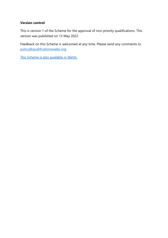#### **Version control**

This is version 1 of the Scheme for the approval of non-priority qualifications. This version was published on 13 May 2022.

Feedback on this Scheme is welcomed at any time. Please send any comments to [policy@qualificationswales.org.](mailto:policy@qualificationswales.org)

[This Scheme is also available in Welsh.](https://qualificationswales.org/cymraeg/cyhoeddiadau/cynllun-a-wneir-o-dan-adran-19-o-ddeddf-cymwysterau-cymru-2015.pdf)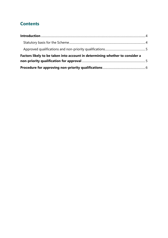# **Contents**

| Factors likely to be taken into account in determining whether to consider a |  |
|------------------------------------------------------------------------------|--|
|                                                                              |  |
|                                                                              |  |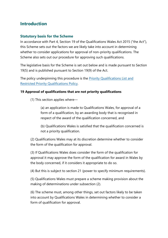### <span id="page-3-0"></span>**Introduction**

#### <span id="page-3-1"></span>**Statutory basis for the Scheme**

In accordance with Part 4, Section 19 of the Qualifications Wales Act 2015 ("the Act"), this Scheme sets out the factors we are likely take into account in determining whether to consider applications for approval of non-priority qualifications. The Scheme also sets out our procedure for approving such qualifications.

The legislative basis for the Scheme is set out below and is made pursuant to Section 19(5) and is published pursuant to Section 19(9) of the Act.

The policy underpinning this procedure is the **Priority Qualifications List and** [Restricted Priority Qualifications Policy.](https://qualificationswales.org/english/publications/priority-qualifications-list-restricted-priority-qualifications-policy/)

#### **19 Approval of qualifications that are not priority qualifications**

(1) This section applies where—

(a) an application is made to Qualifications Wales, for approval of a form of a qualification, by an awarding body that is recognised in respect of the award of the qualification concerned, and

(b) Qualifications Wales is satisfied that the qualification concerned is not a priority qualification.

(2) Qualifications Wales may at its discretion determine whether to consider the form of the qualification for approval.

(3) If Qualifications Wales does consider the form of the qualification for approval it may approve the form of the qualification for award in Wales by the body concerned, if it considers it appropriate to do so.

(4) But this is subject to section 21 (power to specify minimum requirements).

(5) Qualifications Wales must prepare a scheme making provision about the making of determinations under subsection (2).

(6) The scheme must, among other things, set out factors likely to be taken into account by Qualifications Wales in determining whether to consider a form of qualification for approval.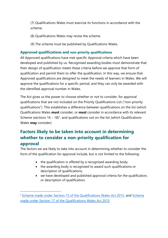(7) Qualifications Wales must exercise its functions in accordance with the scheme.

- (8) Qualifications Wales may revise the scheme.
- (9) The scheme must be published by Qualifications Wales.

### <span id="page-4-0"></span>**Approved qualifications and non-priority qualifications**

All Approved qualifications have met specific Approval criteria which have been developed and published by us. Recognised awarding bodies must demonstrate that their design of qualification meets these criteria before we approve that form of qualification and permit them to offer the qualification. In this way, we ensure that Approved qualifications are designed to meet the needs of learners in Wales. We will approve the qualifications for a specific period, and they can only be awarded with the identified approval number in Wales.

The Act gives us the power to choose whether or not to consider, for approval qualifications that are not included on the Priority Qualifications List ("non-priority qualifications"). This establishes a difference between qualifications on the list (which Qualifications Wales *must* consider, or *must* consider in accordance with its relevant Scheme (sections  $16 - 18$ )<sup>1</sup>, and qualifications not on the list (which Qualifications Wales **may** consider).

## <span id="page-4-1"></span>**Factors likely to be taken into account in determining whether to consider a non-priority qualification for approval**

The factors we are likely to take into account in determining whether to consider the form of the qualification for approval include, but is not limited to the following:

- the qualification is offered by a recognised awarding body;
- the awarding body is recognised to award such qualifications or description of qualifications;
- we have developed and published approval criteria for the qualification, or description of qualification;

<sup>&</sup>lt;sup>1</sup> Scheme made under Section 15 of the Qualifications Wales Act 2015, and Scheme made under Section 17 of the Qualifications Wales Act 2015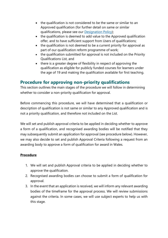- the qualification is not considered to be the same or similar to an Approved qualification (for further detail on same or similar qualifications, please see our Designation Policy);
- the qualification is deemed to add value to the Approved qualification offer, and to have sufficient support from Users of qualifications;
- the qualification is not deemed to be a current priority for approval as part of our qualification reform programme of work;
- the qualification submitted for approval is not included on the Priority Qualifications List, and
- there is a greater degree of flexibility in respect of approving the qualification as eligible for publicly funded courses for learners under the age of 19 and making the qualification available for first teaching.

### <span id="page-5-0"></span>**Procedure for approving non-priority qualifications**

This section outlines the main stages of the procedure we will follow in determining whether to consider a non-priority qualification for approval.

Before commencing this procedure, we will have determined that a qualification or description of qualification is not same or similar to any Approved qualification and is not a priority qualification, and therefore not included on the List.

We will set and publish approval criteria to be applied in deciding whether to approve a form of a qualification, and recognised awarding bodies will be notified that they may subsequently submit an application for approval (see procedure below). However, we may also decide to set and publish Approval Criteria following a request from an awarding body to approve a form of qualification for award in Wales.

### **Procedure**

- 1. We will set and publish Approval criteria to be applied in deciding whether to approve the qualification.
- 2. Recognised awarding bodies can choose to submit a form of qualification for approval.
- 3. In the event that an application is received, we will inform any relevant awarding bodies of the timeframe for the approval process. We will review submissions against the criteria. In some cases, we will use subject experts to help us with this stage.